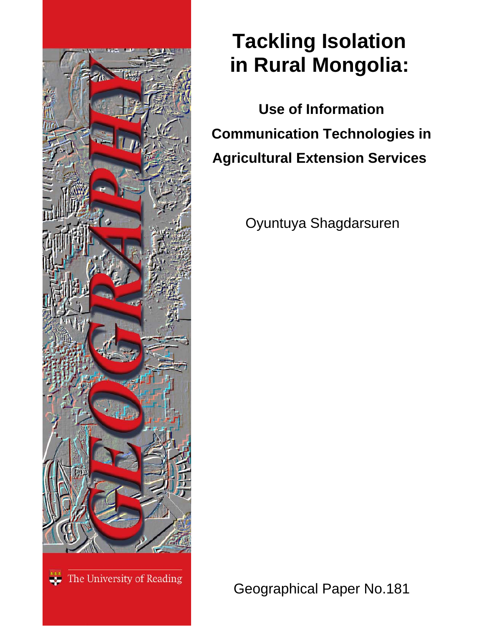

# **Tackling Isolation in Rural Mongolia:**

 **Use of Information Communication Technologies in Agricultural Extension Services** 

Oyuntuya Shagdarsuren

The University of Reading

Geographical Paper No.181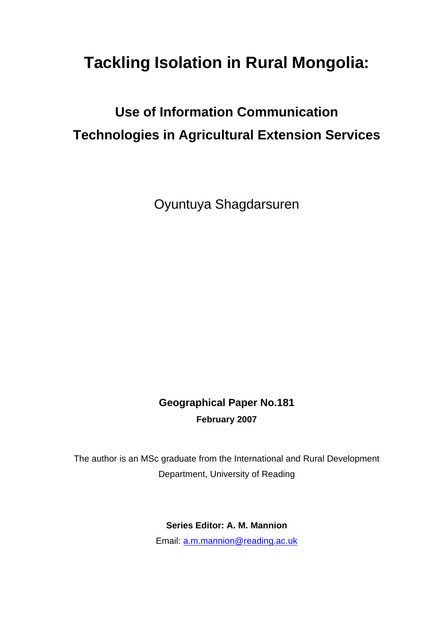## **Tackling Isolation in Rural Mongolia:**

### **Use of Information Communication Technologies in Agricultural Extension Services**

Oyuntuya Shagdarsuren

### **Geographical Paper No.181 February 2007**

The author is an MSc graduate from the International and Rural Development Department, University of Reading

**Series Editor: A. M. Mannion** 

Email: [a.m.mannion@reading.ac.uk](mailto:a.m.mannion@reading.ac.uk)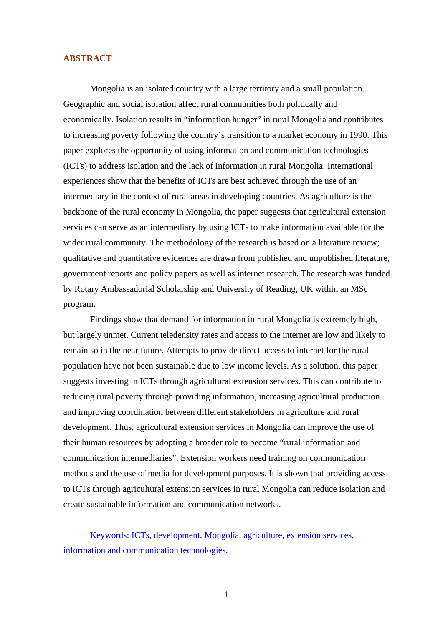#### **ABSTRACT**

Mongolia is an isolated country with a large territory and a small population. Geographic and social isolation affect rural communities both politically and economically. Isolation results in "information hunger" in rural Mongolia and contributes to increasing poverty following the country's transition to a market economy in 1990. This paper explores the opportunity of using information and communication technologies (ICTs) to address isolation and the lack of information in rural Mongolia. International experiences show that the benefits of ICTs are best achieved through the use of an intermediary in the context of rural areas in developing countries. As agriculture is the backbone of the rural economy in Mongolia, the paper suggests that agricultural extension services can serve as an intermediary by using ICTs to make information available for the wider rural community. The methodology of the research is based on a literature review; qualitative and quantitative evidences are drawn from published and unpublished literature, government reports and policy papers as well as internet research. The research was funded by Rotary Ambassadorial Scholarship and University of Reading, UK within an MSc program.

Findings show that demand for information in rural Mongolia is extremely high, but largely unmet. Current teledensity rates and access to the internet are low and likely to remain so in the near future. Attempts to provide direct access to internet for the rural population have not been sustainable due to low income levels. As a solution, this paper suggests investing in ICTs through agricultural extension services. This can contribute to reducing rural poverty through providing information, increasing agricultural production and improving coordination between different stakeholders in agriculture and rural development. Thus, agricultural extension services in Mongolia can improve the use of their human resources by adopting a broader role to become "rural information and communication intermediaries". Extension workers need training on communication methods and the use of media for development purposes. It is shown that providing access to ICTs through agricultural extension services in rural Mongolia can reduce isolation and create sustainable information and communication networks.

Keywords: ICTs, development, Mongolia, agriculture, extension services, information and communication technologies.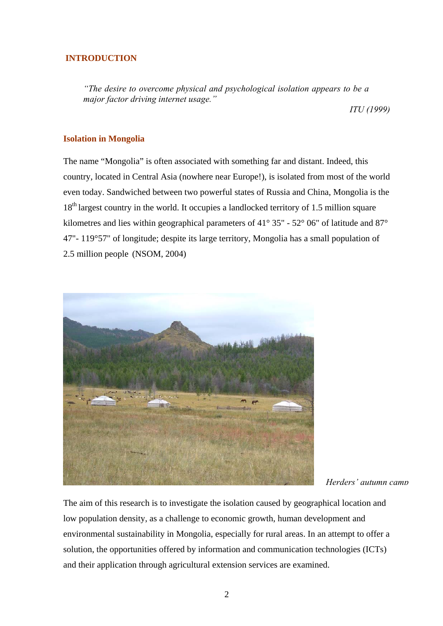#### **INTRODUCTION**

*"The desire to overcome physical and psychological isolation appears to be a major factor driving internet usage."* 

*ITU (1999)*

#### **Isolation in Mongolia**

The name "Mongolia" is often associated with something far and distant. Indeed, this country, located in Central Asia (nowhere near Europe!), is isolated from most of the world even today. Sandwiched between two powerful states of Russia and China, Mongolia is the 18<sup>th</sup> largest country in the world. It occupies a landlocked territory of 1.5 million square kilometres and lies within geographical parameters of  $41^{\circ}$  35" - 52° 06" of latitude and 87° 47"- 119°57" of longitude; despite its large territory, Mongolia has a small population of 2.5 million people (NSOM, 2004)



*Herders' autumn camp*

The aim of this research is to investigate the isolation caused by geographical location and low population density, as a challenge to economic growth, human development and environmental sustainability in Mongolia, especially for rural areas. In an attempt to offer a solution, the opportunities offered by information and communication technologies (ICTs) and their application through agricultural extension services are examined.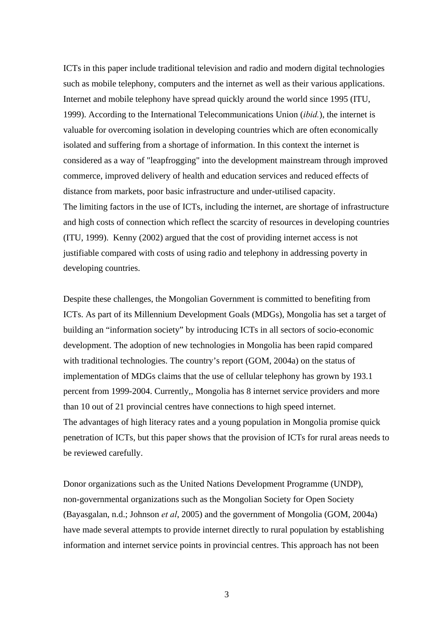ICTs in this paper include traditional television and radio and modern digital technologies such as mobile telephony, computers and the internet as well as their various applications. Internet and mobile telephony have spread quickly around the world since 1995 (ITU, 1999). According to the International Telecommunications Union (*ibid.*), the internet is valuable for overcoming isolation in developing countries which are often economically isolated and suffering from a shortage of information. In this context the internet is considered as a way of "leapfrogging" into the development mainstream through improved commerce, improved delivery of health and education services and reduced effects of distance from markets, poor basic infrastructure and under-utilised capacity. The limiting factors in the use of ICTs, including the internet, are shortage of infrastructure and high costs of connection which reflect the scarcity of resources in developing countries (ITU, 1999). Kenny (2002) argued that the cost of providing internet access is not justifiable compared with costs of using radio and telephony in addressing poverty in developing countries.

Despite these challenges, the Mongolian Government is committed to benefiting from ICTs. As part of its Millennium Development Goals (MDGs), Mongolia has set a target of building an "information society" by introducing ICTs in all sectors of socio-economic development. The adoption of new technologies in Mongolia has been rapid compared with traditional technologies. The country's report (GOM, 2004a) on the status of implementation of MDGs claims that the use of cellular telephony has grown by 193.1 percent from 1999-2004. Currently,, Mongolia has 8 internet service providers and more than 10 out of 21 provincial centres have connections to high speed internet. The advantages of high literacy rates and a young population in Mongolia promise quick penetration of ICTs, but this paper shows that the provision of ICTs for rural areas needs to be reviewed carefully.

Donor organizations such as the United Nations Development Programme (UNDP), non-governmental organizations such as the Mongolian Society for Open Society (Bayasgalan, n.d.; Johnson *et al*, 2005) and the government of Mongolia (GOM, 2004a) have made several attempts to provide internet directly to rural population by establishing information and internet service points in provincial centres. This approach has not been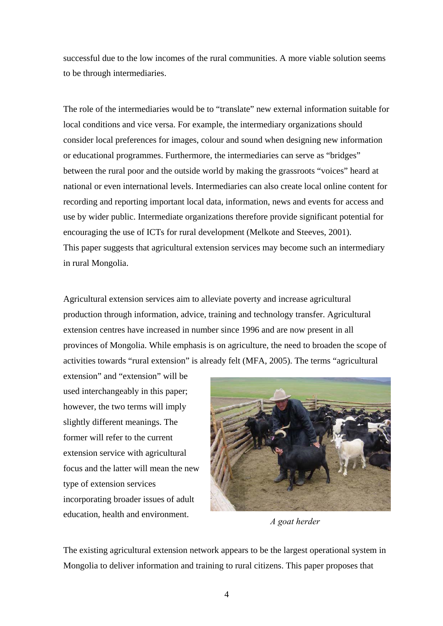successful due to the low incomes of the rural communities. A more viable solution seems to be through intermediaries.

The role of the intermediaries would be to "translate" new external information suitable for local conditions and vice versa. For example, the intermediary organizations should consider local preferences for images, colour and sound when designing new information or educational programmes. Furthermore, the intermediaries can serve as "bridges" between the rural poor and the outside world by making the grassroots "voices" heard at national or even international levels. Intermediaries can also create local online content for recording and reporting important local data, information, news and events for access and use by wider public. Intermediate organizations therefore provide significant potential for encouraging the use of ICTs for rural development (Melkote and Steeves, 2001). This paper suggests that agricultural extension services may become such an intermediary in rural Mongolia.

Agricultural extension services aim to alleviate poverty and increase agricultural production through information, advice, training and technology transfer. Agricultural extension centres have increased in number since 1996 and are now present in all provinces of Mongolia. While emphasis is on agriculture, the need to broaden the scope of activities towards "rural extension" is already felt (MFA, 2005). The terms "agricultural

extension" and "extension" will be used interchangeably in this paper; however, the two terms will imply slightly different meanings. The former will refer to the current extension service with agricultural focus and the latter will mean the new type of extension services incorporating broader issues of adult education, health and environment. *A goat herder* 



The existing agricultural extension network appears to be the largest operational system in Mongolia to deliver information and training to rural citizens. This paper proposes that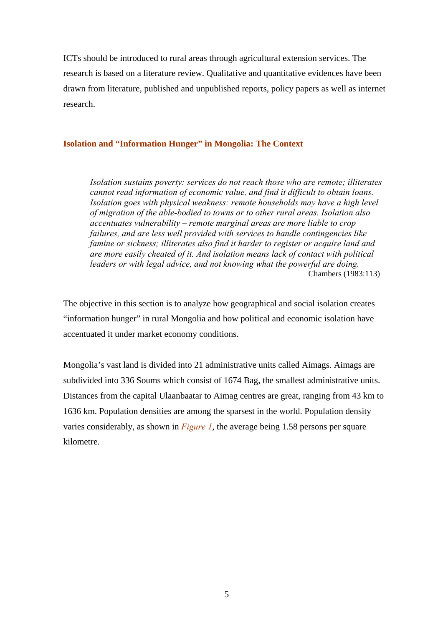ICTs should be introduced to rural areas through agricultural extension services. The research is based on a literature review. Qualitative and quantitative evidences have been drawn from literature, published and unpublished reports, policy papers as well as internet research.

#### **Isolation and "Information Hunger" in Mongolia: The Context**

*Isolation sustains poverty: services do not reach those who are remote; illiterates cannot read information of economic value, and find it difficult to obtain loans. Isolation goes with physical weakness: remote households may have a high level of migration of the able-bodied to towns or to other rural areas. Isolation also accentuates vulnerability – remote marginal areas are more liable to crop failures, and are less well provided with services to handle contingencies like famine or sickness; illiterates also find it harder to register or acquire land and are more easily cheated of it. And isolation means lack of contact with political leaders or with legal advice, and not knowing what the powerful are doing.*  Chambers (1983:113)

The objective in this section is to analyze how geographical and social isolation creates "information hunger" in rural Mongolia and how political and economic isolation have accentuated it under market economy conditions.

Mongolia's vast land is divided into 21 administrative units called Aimags. Aimags are subdivided into 336 Soums which consist of 1674 Bag, the smallest administrative units. Distances from the capital Ulaanbaatar to Aimag centres are great, ranging from 43 km to 1636 km. Population densities are among the sparsest in the world. Population density varies considerably, as shown in *Figure 1*, the average being 1.58 persons per square kilometre.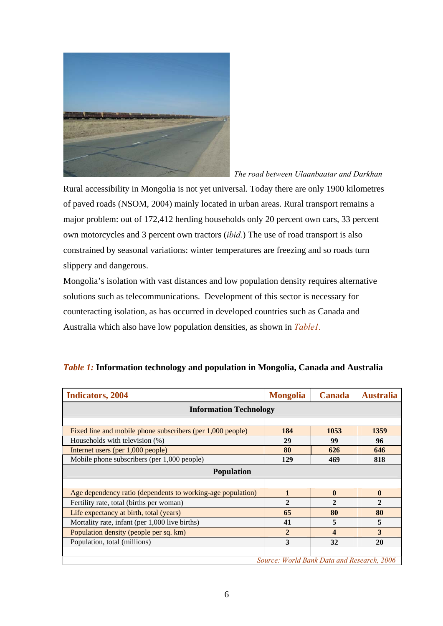

 *The road between Ulaanbaatar and Darkhan*

Rural accessibility in Mongolia is not yet universal. Today there are only 1900 kilometres of paved roads (NSOM, 2004) mainly located in urban areas. Rural transport remains a major problem: out of 172,412 herding households only 20 percent own cars, 33 percent own motorcycles and 3 percent own tractors (*ibid.*) The use of road transport is also constrained by seasonal variations: winter temperatures are freezing and so roads turn slippery and dangerous.

Mongolia's isolation with vast distances and low population density requires alternative solutions such as telecommunications. Development of this sector is necessary for counteracting isolation, as has occurred in developed countries such as Canada and Australia which also have low population densities, as shown in *Table1.* 

| <b>Indicators, 2004</b>                                     | <b>Mongolia</b> | <b>Canada</b>    | <b>Australia</b> |  |
|-------------------------------------------------------------|-----------------|------------------|------------------|--|
| <b>Information Technology</b>                               |                 |                  |                  |  |
|                                                             |                 |                  |                  |  |
| Fixed line and mobile phone subscribers (per 1,000 people)  | 184             | 1053             | 1359             |  |
| Households with television (%)                              | 29              | 99               | 96               |  |
| Internet users (per 1,000 people)                           | 80              | 626              | 646              |  |
| Mobile phone subscribers (per 1,000 people)                 | 129             | 469              | 818              |  |
| <b>Population</b>                                           |                 |                  |                  |  |
|                                                             |                 |                  |                  |  |
| Age dependency ratio (dependents to working-age population) | 1               | $\mathbf{0}$     | $\mathbf{0}$     |  |
| Fertility rate, total (births per woman)                    | $\mathbf{2}$    | $\mathbf{2}$     | $\mathbf{2}$     |  |
| Life expectancy at birth, total (years)                     | 65              | 80               | 80               |  |
| Mortality rate, infant (per 1,000 live births)              | 41              | 5                | 5                |  |
| Population density (people per sq. km)                      | $\mathbf{2}$    | $\boldsymbol{4}$ | 3                |  |
| Population, total (millions)                                | 3               | 32               | 20               |  |
|                                                             |                 |                  |                  |  |
| Source: World Bank Data and Research, 2006                  |                 |                  |                  |  |

#### *Table 1:* **Information technology and population in Mongolia, Canada and Australia**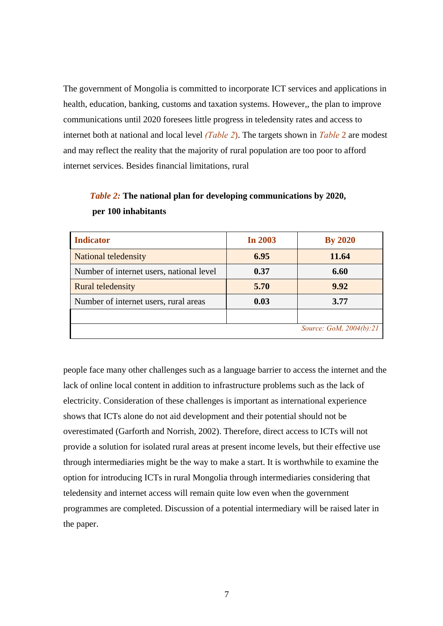The government of Mongolia is committed to incorporate ICT services and applications in health, education, banking, customs and taxation systems. However,, the plan to improve communications until 2020 foresees little progress in teledensity rates and access to internet both at national and local level *(Table 2*). The targets shown in *Table* 2 are modest and may reflect the reality that the majority of rural population are too poor to afford internet services. Besides financial limitations, rural

| <b>Indicator</b>                         | <b>In 2003</b> | <b>By 2020</b>                 |
|------------------------------------------|----------------|--------------------------------|
| National teledensity                     | 6.95           | 11.64                          |
| Number of internet users, national level | 0.37           | 6.60                           |
| <b>Rural teledensity</b>                 | 5.70           | 9.92                           |
| Number of internet users, rural areas    | 0.03           | 3.77                           |
|                                          |                |                                |
|                                          |                | <i>Source: GoM, 2004(b):21</i> |

|                     | <i>Table 2:</i> The national plan for developing communications by 2020, |  |
|---------------------|--------------------------------------------------------------------------|--|
| per 100 inhabitants |                                                                          |  |

people face many other challenges such as a language barrier to access the internet and the lack of online local content in addition to infrastructure problems such as the lack of electricity. Consideration of these challenges is important as international experience shows that ICTs alone do not aid development and their potential should not be overestimated (Garforth and Norrish, 2002). Therefore, direct access to ICTs will not provide a solution for isolated rural areas at present income levels, but their effective use through intermediaries might be the way to make a start. It is worthwhile to examine the option for introducing ICTs in rural Mongolia through intermediaries considering that teledensity and internet access will remain quite low even when the government programmes are completed. Discussion of a potential intermediary will be raised later in the paper.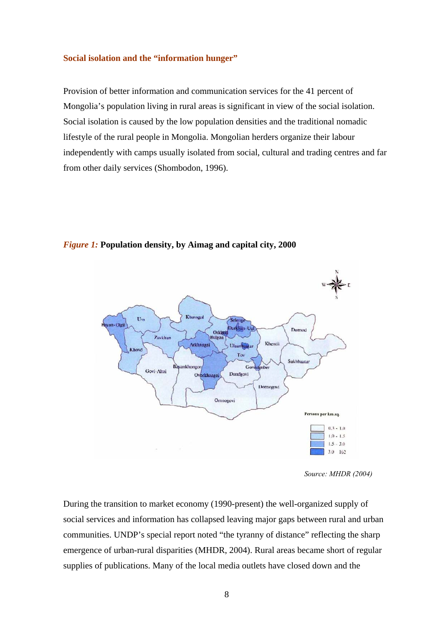#### **Social isolation and the "information hunger"**

Provision of better information and communication services for the 41 percent of Mongolia's population living in rural areas is significant in view of the social isolation. Social isolation is caused by the low population densities and the traditional nomadic lifestyle of the rural people in Mongolia. Mongolian herders organize their labour independently with camps usually isolated from social, cultural and trading centres and far from other daily services (Shombodon, 1996).



*Figure 1:* **Population density, by Aimag and capital city, 2000** 

During the transition to market economy (1990-present) the well-organized supply of social services and information has collapsed leaving major gaps between rural and urban communities. UNDP's special report noted "the tyranny of distance" reflecting the sharp emergence of urban-rural disparities (MHDR, 2004). Rural areas became short of regular supplies of publications. Many of the local media outlets have closed down and the

*Source: MHDR (2004)*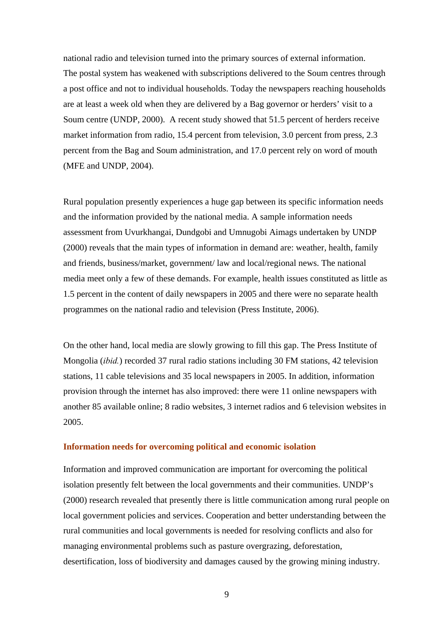national radio and television turned into the primary sources of external information. The postal system has weakened with subscriptions delivered to the Soum centres through a post office and not to individual households. Today the newspapers reaching households are at least a week old when they are delivered by a Bag governor or herders' visit to a Soum centre (UNDP, 2000). A recent study showed that 51.5 percent of herders receive market information from radio, 15.4 percent from television, 3.0 percent from press, 2.3 percent from the Bag and Soum administration, and 17.0 percent rely on word of mouth (MFE and UNDP, 2004).

Rural population presently experiences a huge gap between its specific information needs and the information provided by the national media. A sample information needs assessment from Uvurkhangai, Dundgobi and Umnugobi Aimags undertaken by UNDP (2000) reveals that the main types of information in demand are: weather, health, family and friends, business/market, government/ law and local/regional news. The national media meet only a few of these demands. For example, health issues constituted as little as 1.5 percent in the content of daily newspapers in 2005 and there were no separate health programmes on the national radio and television (Press Institute, 2006).

On the other hand, local media are slowly growing to fill this gap. The Press Institute of Mongolia (*ibid.*) recorded 37 rural radio stations including 30 FM stations, 42 television stations, 11 cable televisions and 35 local newspapers in 2005. In addition, information provision through the internet has also improved: there were 11 online newspapers with another 85 available online; 8 radio websites, 3 internet radios and 6 television websites in 2005.

#### **Information needs for overcoming political and economic isolation**

Information and improved communication are important for overcoming the political isolation presently felt between the local governments and their communities. UNDP's (2000) research revealed that presently there is little communication among rural people on local government policies and services. Cooperation and better understanding between the rural communities and local governments is needed for resolving conflicts and also for managing environmental problems such as pasture overgrazing, deforestation, desertification, loss of biodiversity and damages caused by the growing mining industry.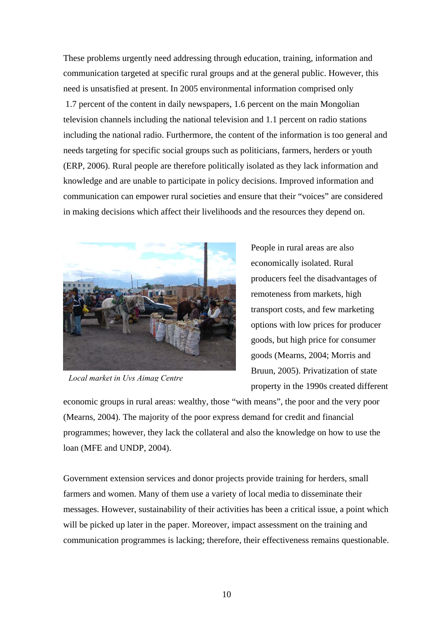These problems urgently need addressing through education, training, information and communication targeted at specific rural groups and at the general public. However, this need is unsatisfied at present. In 2005 environmental information comprised only 1.7 percent of the content in daily newspapers, 1.6 percent on the main Mongolian television channels including the national television and 1.1 percent on radio stations including the national radio. Furthermore, the content of the information is too general and needs targeting for specific social groups such as politicians, farmers, herders or youth (ERP, 2006). Rural people are therefore politically isolated as they lack information and knowledge and are unable to participate in policy decisions. Improved information and communication can empower rural societies and ensure that their "voices" are considered in making decisions which affect their livelihoods and the resources they depend on.



*Local market in Uvs Aimag Centre*

People in rural areas are also economically isolated. Rural producers feel the disadvantages of remoteness from markets, high transport costs, and few marketing options with low prices for producer goods, but high price for consumer goods (Mearns, 2004; Morris and Bruun, 2005). Privatization of state property in the 1990s created different

economic groups in rural areas: wealthy, those "with means", the poor and the very poor (Mearns, 2004). The majority of the poor express demand for credit and financial programmes; however, they lack the collateral and also the knowledge on how to use the loan (MFE and UNDP, 2004).

Government extension services and donor projects provide training for herders, small farmers and women. Many of them use a variety of local media to disseminate their messages. However, sustainability of their activities has been a critical issue, a point which will be picked up later in the paper. Moreover, impact assessment on the training and communication programmes is lacking; therefore, their effectiveness remains questionable.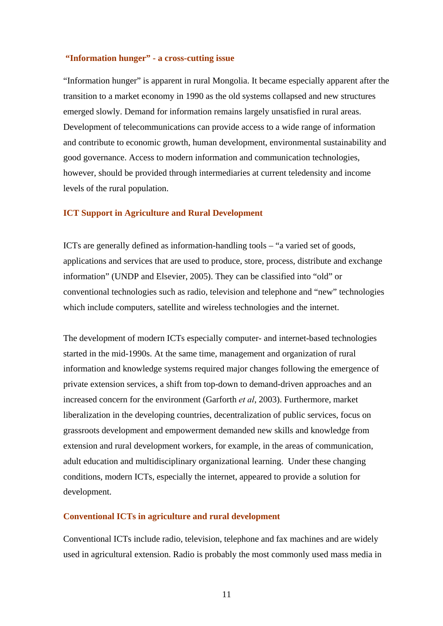#### **"Information hunger" - a cross-cutting issue**

"Information hunger" is apparent in rural Mongolia. It became especially apparent after the transition to a market economy in 1990 as the old systems collapsed and new structures emerged slowly. Demand for information remains largely unsatisfied in rural areas. Development of telecommunications can provide access to a wide range of information and contribute to economic growth, human development, environmental sustainability and good governance. Access to modern information and communication technologies, however, should be provided through intermediaries at current teledensity and income levels of the rural population.

#### **ICT Support in Agriculture and Rural Development**

ICTs are generally defined as information-handling tools – "a varied set of goods, applications and services that are used to produce, store, process, distribute and exchange information" (UNDP and Elsevier, 2005). They can be classified into "old" or conventional technologies such as radio, television and telephone and "new" technologies which include computers, satellite and wireless technologies and the internet.

The development of modern ICTs especially computer- and internet-based technologies started in the mid-1990s. At the same time, management and organization of rural information and knowledge systems required major changes following the emergence of private extension services, a shift from top-down to demand-driven approaches and an increased concern for the environment (Garforth *et al*, 2003). Furthermore, market liberalization in the developing countries, decentralization of public services, focus on grassroots development and empowerment demanded new skills and knowledge from extension and rural development workers, for example, in the areas of communication, adult education and multidisciplinary organizational learning. Under these changing conditions, modern ICTs, especially the internet, appeared to provide a solution for development.

#### **Conventional ICTs in agriculture and rural development**

Conventional ICTs include radio, television, telephone and fax machines and are widely used in agricultural extension. Radio is probably the most commonly used mass media in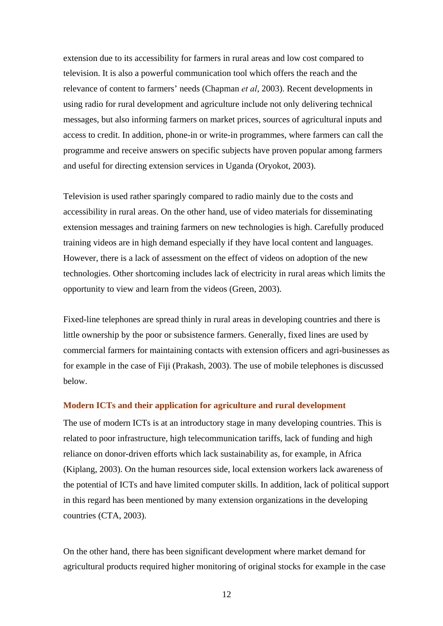extension due to its accessibility for farmers in rural areas and low cost compared to television. It is also a powerful communication tool which offers the reach and the relevance of content to farmers' needs (Chapman *et al*, 2003). Recent developments in using radio for rural development and agriculture include not only delivering technical messages, but also informing farmers on market prices, sources of agricultural inputs and access to credit. In addition, phone-in or write-in programmes, where farmers can call the programme and receive answers on specific subjects have proven popular among farmers and useful for directing extension services in Uganda (Oryokot, 2003).

Television is used rather sparingly compared to radio mainly due to the costs and accessibility in rural areas. On the other hand, use of video materials for disseminating extension messages and training farmers on new technologies is high. Carefully produced training videos are in high demand especially if they have local content and languages. However, there is a lack of assessment on the effect of videos on adoption of the new technologies. Other shortcoming includes lack of electricity in rural areas which limits the opportunity to view and learn from the videos (Green, 2003).

Fixed-line telephones are spread thinly in rural areas in developing countries and there is little ownership by the poor or subsistence farmers. Generally, fixed lines are used by commercial farmers for maintaining contacts with extension officers and agri-businesses as for example in the case of Fiji (Prakash, 2003). The use of mobile telephones is discussed below.

#### **Modern ICTs and their application for agriculture and rural development**

The use of modern ICTs is at an introductory stage in many developing countries. This is related to poor infrastructure, high telecommunication tariffs, lack of funding and high reliance on donor-driven efforts which lack sustainability as, for example, in Africa (Kiplang, 2003). On the human resources side, local extension workers lack awareness of the potential of ICTs and have limited computer skills. In addition, lack of political support in this regard has been mentioned by many extension organizations in the developing countries (CTA, 2003).

On the other hand, there has been significant development where market demand for agricultural products required higher monitoring of original stocks for example in the case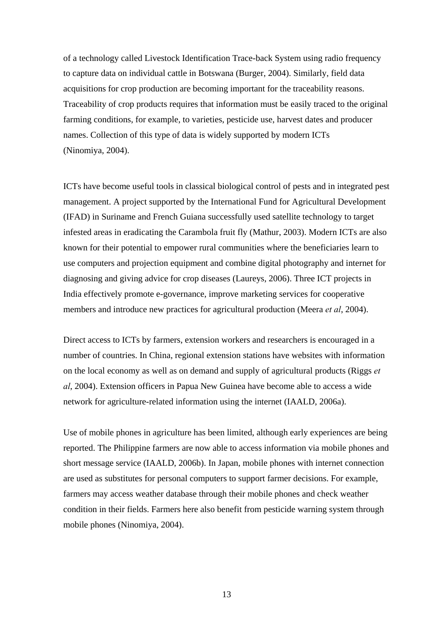of a technology called Livestock Identification Trace-back System using radio frequency to capture data on individual cattle in Botswana (Burger, 2004). Similarly, field data acquisitions for crop production are becoming important for the traceability reasons. Traceability of crop products requires that information must be easily traced to the original farming conditions, for example, to varieties, pesticide use, harvest dates and producer names. Collection of this type of data is widely supported by modern ICTs (Ninomiya, 2004).

ICTs have become useful tools in classical biological control of pests and in integrated pest management. A project supported by the International Fund for Agricultural Development (IFAD) in Suriname and French Guiana successfully used satellite technology to target infested areas in eradicating the Carambola fruit fly (Mathur, 2003). Modern ICTs are also known for their potential to empower rural communities where the beneficiaries learn to use computers and projection equipment and combine digital photography and internet for diagnosing and giving advice for crop diseases (Laureys, 2006). Three ICT projects in India effectively promote e-governance, improve marketing services for cooperative members and introduce new practices for agricultural production (Meera *et al*, 2004).

Direct access to ICTs by farmers, extension workers and researchers is encouraged in a number of countries. In China, regional extension stations have websites with information on the local economy as well as on demand and supply of agricultural products (Riggs *et al*, 2004). Extension officers in Papua New Guinea have become able to access a wide network for agriculture-related information using the internet (IAALD, 2006a).

Use of mobile phones in agriculture has been limited, although early experiences are being reported. The Philippine farmers are now able to access information via mobile phones and short message service (IAALD, 2006b). In Japan, mobile phones with internet connection are used as substitutes for personal computers to support farmer decisions. For example, farmers may access weather database through their mobile phones and check weather condition in their fields. Farmers here also benefit from pesticide warning system through mobile phones (Ninomiya, 2004).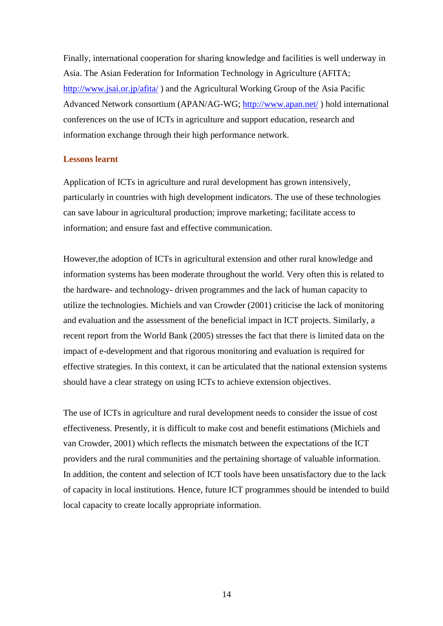Finally, international cooperation for sharing knowledge and facilities is well underway in Asia. The Asian Federation for Information Technology in Agriculture (AFITA; <http://www.jsai.or.jp/afita/>) and the Agricultural Working Group of the Asia Pacific Advanced Network consortium (APAN/AG-WG;<http://www.apan.net/>) hold international conferences on the use of ICTs in agriculture and support education, research and information exchange through their high performance network.

#### **Lessons learnt**

Application of ICTs in agriculture and rural development has grown intensively, particularly in countries with high development indicators. The use of these technologies can save labour in agricultural production; improve marketing; facilitate access to information; and ensure fast and effective communication.

However,the adoption of ICTs in agricultural extension and other rural knowledge and information systems has been moderate throughout the world. Very often this is related to the hardware- and technology- driven programmes and the lack of human capacity to utilize the technologies. Michiels and van Crowder (2001) criticise the lack of monitoring and evaluation and the assessment of the beneficial impact in ICT projects. Similarly, a recent report from the World Bank (2005) stresses the fact that there is limited data on the impact of e-development and that rigorous monitoring and evaluation is required for effective strategies. In this context, it can be articulated that the national extension systems should have a clear strategy on using ICTs to achieve extension objectives.

The use of ICTs in agriculture and rural development needs to consider the issue of cost effectiveness. Presently, it is difficult to make cost and benefit estimations (Michiels and van Crowder, 2001) which reflects the mismatch between the expectations of the ICT providers and the rural communities and the pertaining shortage of valuable information. In addition, the content and selection of ICT tools have been unsatisfactory due to the lack of capacity in local institutions. Hence, future ICT programmes should be intended to build local capacity to create locally appropriate information.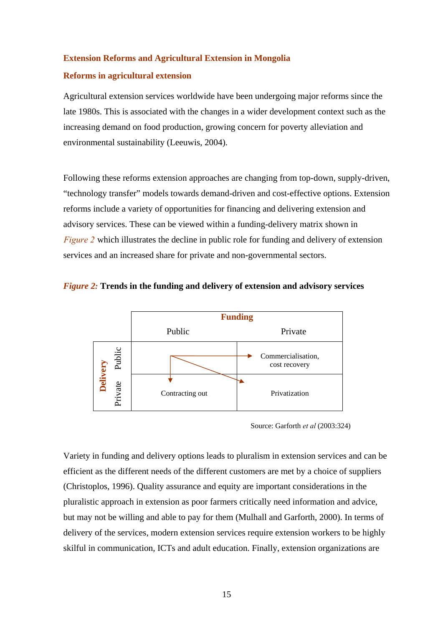#### **Extension Reforms and Agricultural Extension in Mongolia**

#### **Reforms in agricultural extension**

Agricultural extension services worldwide have been undergoing major reforms since the late 1980s. This is associated with the changes in a wider development context such as the increasing demand on food production, growing concern for poverty alleviation and environmental sustainability (Leeuwis, 2004).

Following these reforms extension approaches are changing from top-down, supply-driven, "technology transfer" models towards demand-driven and cost-effective options. Extension reforms include a variety of opportunities for financing and delivering extension and advisory services. These can be viewed within a funding-delivery matrix shown in *Figure 2* which illustrates the decline in public role for funding and delivery of extension services and an increased share for private and non-governmental sectors.





Source: Garforth *et al* (2003:324)

Variety in funding and delivery options leads to pluralism in extension services and can be efficient as the different needs of the different customers are met by a choice of suppliers (Christoplos, 1996). Quality assurance and equity are important considerations in the pluralistic approach in extension as poor farmers critically need information and advice, but may not be willing and able to pay for them (Mulhall and Garforth, 2000). In terms of delivery of the services, modern extension services require extension workers to be highly skilful in communication, ICTs and adult education. Finally, extension organizations are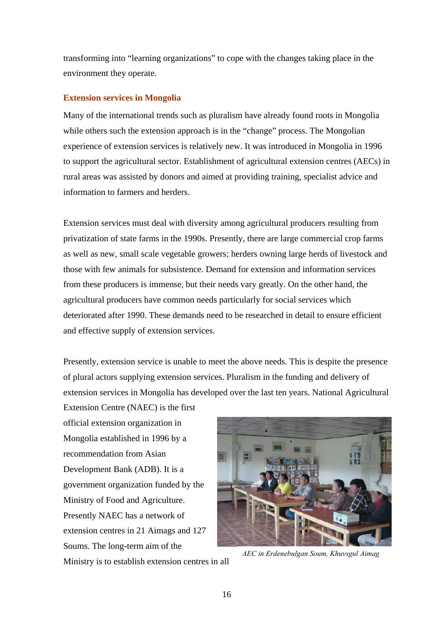transforming into "learning organizations" to cope with the changes taking place in the environment they operate.

#### **Extension services in Mongolia**

Many of the international trends such as pluralism have already found roots in Mongolia while others such the extension approach is in the "change" process. The Mongolian experience of extension services is relatively new. It was introduced in Mongolia in 1996 to support the agricultural sector. Establishment of agricultural extension centres (AECs) in rural areas was assisted by donors and aimed at providing training, specialist advice and information to farmers and herders.

Extension services must deal with diversity among agricultural producers resulting from privatization of state farms in the 1990s. Presently, there are large commercial crop farms as well as new, small scale vegetable growers; herders owning large herds of livestock and those with few animals for subsistence. Demand for extension and information services from these producers is immense, but their needs vary greatly. On the other hand, the agricultural producers have common needs particularly for social services which deteriorated after 1990. These demands need to be researched in detail to ensure efficient and effective supply of extension services.

Presently, extension service is unable to meet the above needs. This is despite the presence of plural actors supplying extension services. Pluralism in the funding and delivery of extension services in Mongolia has developed over the last ten years. National Agricultural

Extension Centre (NAEC) is the first official extension organization in Mongolia established in 1996 by a recommendation from Asian Development Bank (ADB). It is a government organization funded by the Ministry of Food and Agriculture. Presently NAEC has a network of extension centres in 21 Aimags and 127 Soums. The long-term aim of the

*AEC in Erdenebulgan Soum, Khuvsgul Aimag* 

Ministry is to establish extension centres in all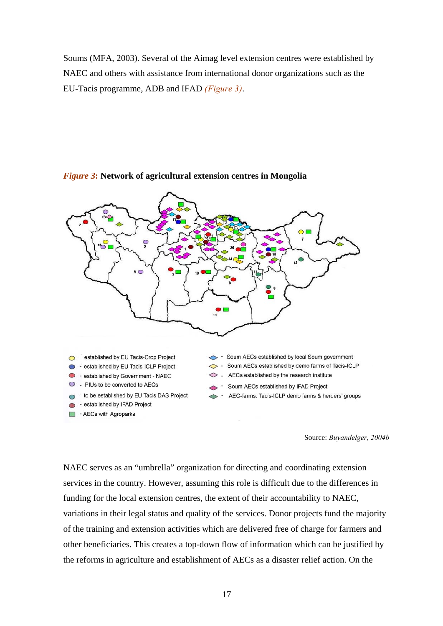Soums (MFA, 2003). Several of the Aimag level extension centres were established by NAEC and others with assistance from international donor organizations such as the EU-Tacis programme, ADB and IFAD *(Figure 3)*.



#### *Figure 3***: Network of agricultural extension centres in Mongolia**

Source: *Buyandelger, 2004b* 

NAEC serves as an "umbrella" organization for directing and coordinating extension services in the country. However, assuming this role is difficult due to the differences in funding for the local extension centres, the extent of their accountability to NAEC, variations in their legal status and quality of the services. Donor projects fund the majority of the training and extension activities which are delivered free of charge for farmers and other beneficiaries. This creates a top-down flow of information which can be justified by the reforms in agriculture and establishment of AECs as a disaster relief action. On the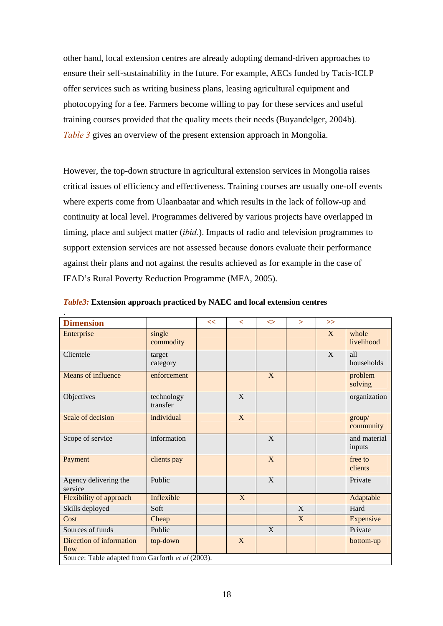other hand, local extension centres are already adopting demand-driven approaches to ensure their self-sustainability in the future. For example, AECs funded by Tacis-ICLP offer services such as writing business plans, leasing agricultural equipment and photocopying for a fee. Farmers become willing to pay for these services and useful training courses provided that the quality meets their needs (Buyandelger, 2004b)*. Table 3* gives an overview of the present extension approach in Mongolia.

However, the top-down structure in agricultural extension services in Mongolia raises critical issues of efficiency and effectiveness. Training courses are usually one-off events where experts come from Ulaanbaatar and which results in the lack of follow-up and continuity at local level. Programmes delivered by various projects have overlapped in timing, place and subject matter (*ibid.*). Impacts of radio and television programmes to support extension services are not assessed because donors evaluate their performance against their plans and not against the results achieved as for example in the case of IFAD's Rural Poverty Reduction Programme (MFA, 2005).

| <b>Dimension</b>                                  |                        | << | $\lt$          | $\leftrightarrow$ | $\geq$ | $\gg$ |                        |
|---------------------------------------------------|------------------------|----|----------------|-------------------|--------|-------|------------------------|
| Enterprise                                        | single<br>commodity    |    |                |                   |        | X     | whole<br>livelihood    |
| Clientele                                         | target<br>category     |    |                |                   |        | X     | all<br>households      |
| Means of influence                                | enforcement            |    |                | X                 |        |       | problem<br>solving     |
| Objectives                                        | technology<br>transfer |    | X              |                   |        |       | organization           |
| Scale of decision                                 | individual             |    | X              |                   |        |       | group/<br>community    |
| Scope of service                                  | information            |    |                | X                 |        |       | and material<br>inputs |
| Payment                                           | clients pay            |    |                | X                 |        |       | free to<br>clients     |
| Agency delivering the<br>service                  | Public                 |    |                | X                 |        |       | Private                |
| Flexibility of approach                           | Inflexible             |    | $\overline{X}$ |                   |        |       | Adaptable              |
| Skills deployed                                   | Soft                   |    |                |                   | X      |       | Hard                   |
| Cost                                              | Cheap                  |    |                |                   | X      |       | Expensive              |
| Sources of funds                                  | Public                 |    |                | X                 |        |       | Private                |
| Direction of information<br>flow                  | top-down               |    | X              |                   |        |       | bottom-up              |
| Source: Table adapted from Garforth et al (2003). |                        |    |                |                   |        |       |                        |

*Table3:* **Extension approach practiced by NAEC and local extension centres**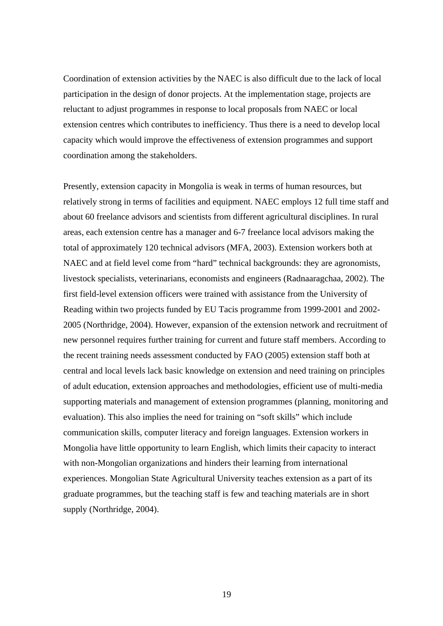Coordination of extension activities by the NAEC is also difficult due to the lack of local participation in the design of donor projects. At the implementation stage, projects are reluctant to adjust programmes in response to local proposals from NAEC or local extension centres which contributes to inefficiency. Thus there is a need to develop local capacity which would improve the effectiveness of extension programmes and support coordination among the stakeholders.

Presently, extension capacity in Mongolia is weak in terms of human resources, but relatively strong in terms of facilities and equipment. NAEC employs 12 full time staff and about 60 freelance advisors and scientists from different agricultural disciplines. In rural areas, each extension centre has a manager and 6-7 freelance local advisors making the total of approximately 120 technical advisors (MFA, 2003). Extension workers both at NAEC and at field level come from "hard" technical backgrounds: they are agronomists, livestock specialists, veterinarians, economists and engineers (Radnaaragchaa, 2002). The first field-level extension officers were trained with assistance from the University of Reading within two projects funded by EU Tacis programme from 1999-2001 and 2002- 2005 (Northridge, 2004). However, expansion of the extension network and recruitment of new personnel requires further training for current and future staff members. According to the recent training needs assessment conducted by FAO (2005) extension staff both at central and local levels lack basic knowledge on extension and need training on principles of adult education, extension approaches and methodologies, efficient use of multi-media supporting materials and management of extension programmes (planning, monitoring and evaluation). This also implies the need for training on "soft skills" which include communication skills, computer literacy and foreign languages. Extension workers in Mongolia have little opportunity to learn English, which limits their capacity to interact with non-Mongolian organizations and hinders their learning from international experiences. Mongolian State Agricultural University teaches extension as a part of its graduate programmes, but the teaching staff is few and teaching materials are in short supply (Northridge, 2004).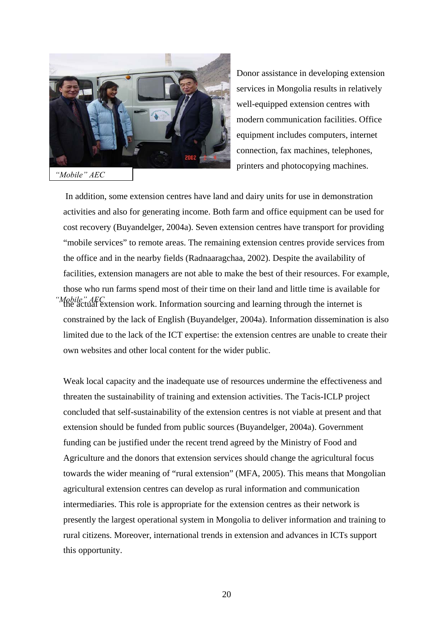

*"Mobile" AEC*

Donor assistance in developing extension services in Mongolia results in relatively well-equipped extension centres with modern communication facilities. Office equipment includes computers, internet connection, fax machines, telephones, printers and photocopying machines.

 In addition, some extension centres have land and dairy units for use in demonstration activities and also for generating income. Both farm and office equipment can be used for cost recovery (Buyandelger, 2004a). Seven extension centres have transport for providing "mobile services" to remote areas. The remaining extension centres provide services from the office and in the nearby fields (Radnaaragchaa, 2002). Despite the availability of facilities, extension managers are not able to make the best of their resources. For example, those who run farms spend most of their time on their land and little time is available for the actual extension work. Information sourcing and learning through the internet is *"Mobile" AEC*  constrained by the lack of English (Buyandelger, 2004a). Information dissemination is also limited due to the lack of the ICT expertise: the extension centres are unable to create their own websites and other local content for the wider public.

Weak local capacity and the inadequate use of resources undermine the effectiveness and threaten the sustainability of training and extension activities. The Tacis-ICLP project concluded that self-sustainability of the extension centres is not viable at present and that extension should be funded from public sources (Buyandelger, 2004a). Government funding can be justified under the recent trend agreed by the Ministry of Food and Agriculture and the donors that extension services should change the agricultural focus towards the wider meaning of "rural extension" (MFA, 2005). This means that Mongolian agricultural extension centres can develop as rural information and communication intermediaries. This role is appropriate for the extension centres as their network is presently the largest operational system in Mongolia to deliver information and training to rural citizens. Moreover, international trends in extension and advances in ICTs support this opportunity.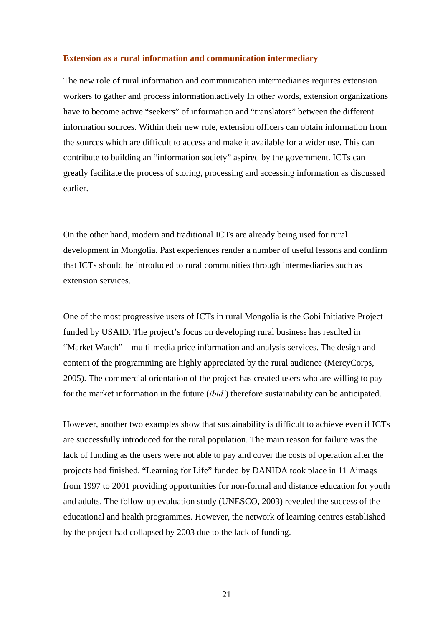#### **Extension as a rural information and communication intermediary**

The new role of rural information and communication intermediaries requires extension workers to gather and process information.actively In other words, extension organizations have to become active "seekers" of information and "translators" between the different information sources. Within their new role, extension officers can obtain information from the sources which are difficult to access and make it available for a wider use. This can contribute to building an "information society" aspired by the government. ICTs can greatly facilitate the process of storing, processing and accessing information as discussed earlier.

On the other hand, modern and traditional ICTs are already being used for rural development in Mongolia. Past experiences render a number of useful lessons and confirm that ICTs should be introduced to rural communities through intermediaries such as extension services.

One of the most progressive users of ICTs in rural Mongolia is the Gobi Initiative Project funded by USAID. The project's focus on developing rural business has resulted in "Market Watch" – multi-media price information and analysis services. The design and content of the programming are highly appreciated by the rural audience (MercyCorps, 2005). The commercial orientation of the project has created users who are willing to pay for the market information in the future (*ibid.*) therefore sustainability can be anticipated.

However, another two examples show that sustainability is difficult to achieve even if ICTs are successfully introduced for the rural population. The main reason for failure was the lack of funding as the users were not able to pay and cover the costs of operation after the projects had finished. "Learning for Life" funded by DANIDA took place in 11 Aimags from 1997 to 2001 providing opportunities for non-formal and distance education for youth and adults. The follow-up evaluation study (UNESCO, 2003) revealed the success of the educational and health programmes. However, the network of learning centres established by the project had collapsed by 2003 due to the lack of funding.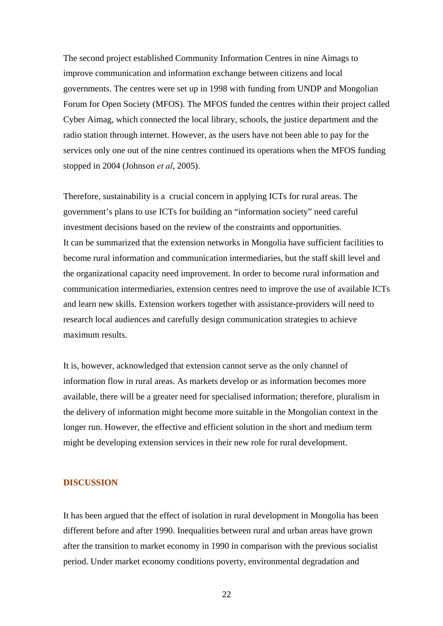The second project established Community Information Centres in nine Aimags to improve communication and information exchange between citizens and local governments. The centres were set up in 1998 with funding from UNDP and Mongolian Forum for Open Society (MFOS). The MFOS funded the centres within their project called Cyber Aimag, which connected the local library, schools, the justice department and the radio station through internet. However, as the users have not been able to pay for the services only one out of the nine centres continued its operations when the MFOS funding stopped in 2004 (Johnson *et al*, 2005).

Therefore, sustainability is a crucial concern in applying ICTs for rural areas. The government's plans to use ICTs for building an "information society" need careful investment decisions based on the review of the constraints and opportunities. It can be summarized that the extension networks in Mongolia have sufficient facilities to become rural information and communication intermediaries, but the staff skill level and the organizational capacity need improvement. In order to become rural information and communication intermediaries, extension centres need to improve the use of available ICTs and learn new skills. Extension workers together with assistance-providers will need to research local audiences and carefully design communication strategies to achieve maximum results.

It is, however, acknowledged that extension cannot serve as the only channel of information flow in rural areas. As markets develop or as information becomes more available, there will be a greater need for specialised information; therefore, pluralism in the delivery of information might become more suitable in the Mongolian context in the longer run. However, the effective and efficient solution in the short and medium term might be developing extension services in their new role for rural development.

#### **DISCUSSION**

It has been argued that the effect of isolation in rural development in Mongolia has been different before and after 1990. Inequalities between rural and urban areas have grown after the transition to market economy in 1990 in comparison with the previous socialist period. Under market economy conditions poverty, environmental degradation and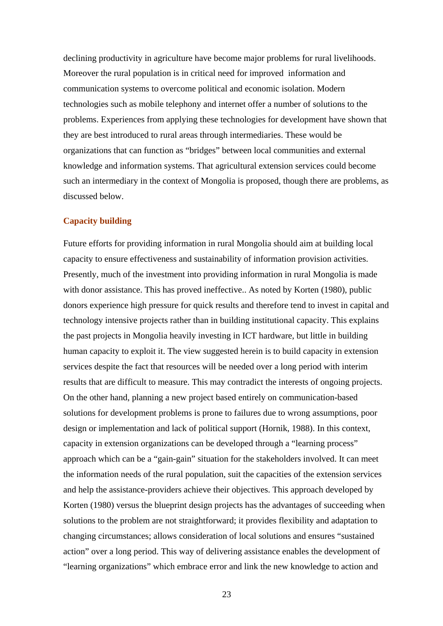declining productivity in agriculture have become major problems for rural livelihoods. Moreover the rural population is in critical need for improved information and communication systems to overcome political and economic isolation. Modern technologies such as mobile telephony and internet offer a number of solutions to the problems. Experiences from applying these technologies for development have shown that they are best introduced to rural areas through intermediaries. These would be organizations that can function as "bridges" between local communities and external knowledge and information systems. That agricultural extension services could become such an intermediary in the context of Mongolia is proposed, though there are problems, as discussed below.

#### **Capacity building**

Future efforts for providing information in rural Mongolia should aim at building local capacity to ensure effectiveness and sustainability of information provision activities. Presently, much of the investment into providing information in rural Mongolia is made with donor assistance. This has proved ineffective.. As noted by Korten (1980), public donors experience high pressure for quick results and therefore tend to invest in capital and technology intensive projects rather than in building institutional capacity. This explains the past projects in Mongolia heavily investing in ICT hardware, but little in building human capacity to exploit it. The view suggested herein is to build capacity in extension services despite the fact that resources will be needed over a long period with interim results that are difficult to measure. This may contradict the interests of ongoing projects. On the other hand, planning a new project based entirely on communication-based solutions for development problems is prone to failures due to wrong assumptions, poor design or implementation and lack of political support (Hornik, 1988). In this context, capacity in extension organizations can be developed through a "learning process" approach which can be a "gain-gain" situation for the stakeholders involved. It can meet the information needs of the rural population, suit the capacities of the extension services and help the assistance-providers achieve their objectives. This approach developed by Korten (1980) versus the blueprint design projects has the advantages of succeeding when solutions to the problem are not straightforward; it provides flexibility and adaptation to changing circumstances; allows consideration of local solutions and ensures "sustained action" over a long period. This way of delivering assistance enables the development of "learning organizations" which embrace error and link the new knowledge to action and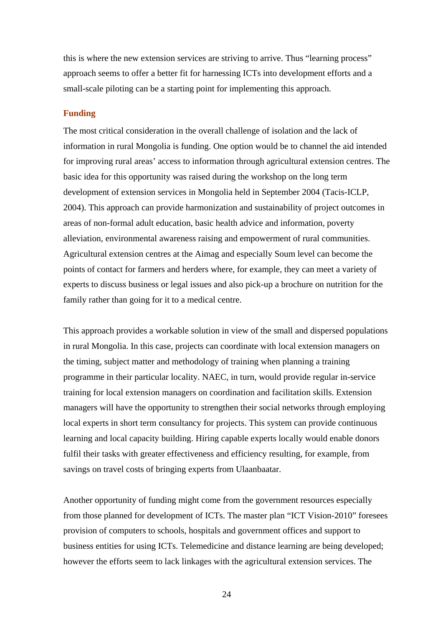this is where the new extension services are striving to arrive. Thus "learning process" approach seems to offer a better fit for harnessing ICTs into development efforts and a small-scale piloting can be a starting point for implementing this approach.

#### **Funding**

The most critical consideration in the overall challenge of isolation and the lack of information in rural Mongolia is funding. One option would be to channel the aid intended for improving rural areas' access to information through agricultural extension centres. The basic idea for this opportunity was raised during the workshop on the long term development of extension services in Mongolia held in September 2004 (Tacis-ICLP, 2004). This approach can provide harmonization and sustainability of project outcomes in areas of non-formal adult education, basic health advice and information, poverty alleviation, environmental awareness raising and empowerment of rural communities. Agricultural extension centres at the Aimag and especially Soum level can become the points of contact for farmers and herders where, for example, they can meet a variety of experts to discuss business or legal issues and also pick-up a brochure on nutrition for the family rather than going for it to a medical centre.

This approach provides a workable solution in view of the small and dispersed populations in rural Mongolia. In this case, projects can coordinate with local extension managers on the timing, subject matter and methodology of training when planning a training programme in their particular locality. NAEC, in turn, would provide regular in-service training for local extension managers on coordination and facilitation skills. Extension managers will have the opportunity to strengthen their social networks through employing local experts in short term consultancy for projects. This system can provide continuous learning and local capacity building. Hiring capable experts locally would enable donors fulfil their tasks with greater effectiveness and efficiency resulting, for example, from savings on travel costs of bringing experts from Ulaanbaatar.

Another opportunity of funding might come from the government resources especially from those planned for development of ICTs. The master plan "ICT Vision-2010" foresees provision of computers to schools, hospitals and government offices and support to business entities for using ICTs. Telemedicine and distance learning are being developed; however the efforts seem to lack linkages with the agricultural extension services. The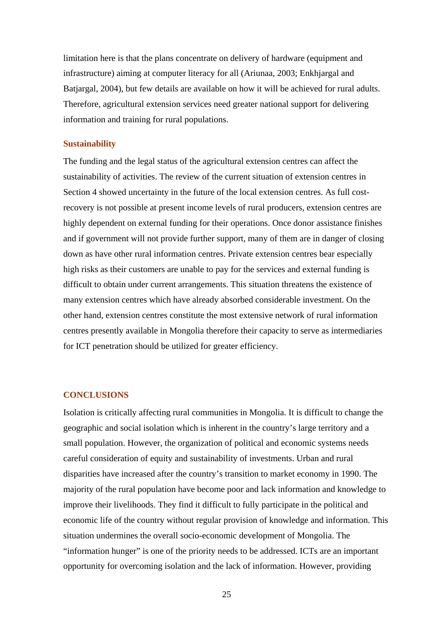limitation here is that the plans concentrate on delivery of hardware (equipment and infrastructure) aiming at computer literacy for all (Ariunaa, 2003; Enkhjargal and Batjargal, 2004), but few details are available on how it will be achieved for rural adults. Therefore, agricultural extension services need greater national support for delivering information and training for rural populations.

#### **Sustainability**

The funding and the legal status of the agricultural extension centres can affect the sustainability of activities. The review of the current situation of extension centres in Section 4 showed uncertainty in the future of the local extension centres. As full costrecovery is not possible at present income levels of rural producers, extension centres are highly dependent on external funding for their operations. Once donor assistance finishes and if government will not provide further support, many of them are in danger of closing down as have other rural information centres. Private extension centres bear especially high risks as their customers are unable to pay for the services and external funding is difficult to obtain under current arrangements. This situation threatens the existence of many extension centres which have already absorbed considerable investment. On the other hand, extension centres constitute the most extensive network of rural information centres presently available in Mongolia therefore their capacity to serve as intermediaries for ICT penetration should be utilized for greater efficiency.

#### **CONCLUSIONS**

Isolation is critically affecting rural communities in Mongolia. It is difficult to change the geographic and social isolation which is inherent in the country's large territory and a small population. However, the organization of political and economic systems needs careful consideration of equity and sustainability of investments. Urban and rural disparities have increased after the country's transition to market economy in 1990. The majority of the rural population have become poor and lack information and knowledge to improve their livelihoods. They find it difficult to fully participate in the political and economic life of the country without regular provision of knowledge and information. This situation undermines the overall socio-economic development of Mongolia. The "information hunger" is one of the priority needs to be addressed. ICTs are an important opportunity for overcoming isolation and the lack of information. However, providing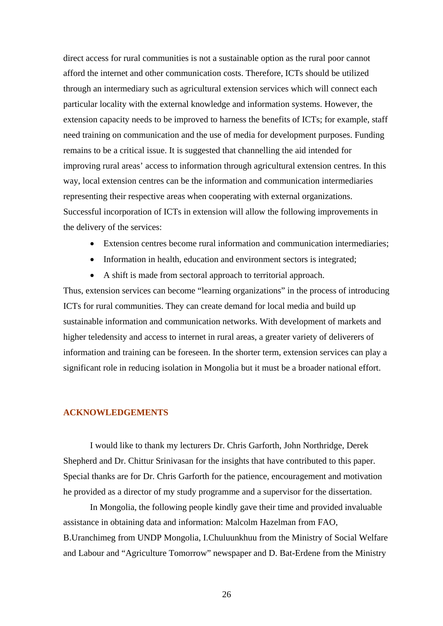direct access for rural communities is not a sustainable option as the rural poor cannot afford the internet and other communication costs. Therefore, ICTs should be utilized through an intermediary such as agricultural extension services which will connect each particular locality with the external knowledge and information systems. However, the extension capacity needs to be improved to harness the benefits of ICTs; for example, staff need training on communication and the use of media for development purposes. Funding remains to be a critical issue. It is suggested that channelling the aid intended for improving rural areas' access to information through agricultural extension centres. In this way, local extension centres can be the information and communication intermediaries representing their respective areas when cooperating with external organizations. Successful incorporation of ICTs in extension will allow the following improvements in the delivery of the services:

- Extension centres become rural information and communication intermediaries;
- Information in health, education and environment sectors is integrated;
- A shift is made from sectoral approach to territorial approach.

Thus, extension services can become "learning organizations" in the process of introducing ICTs for rural communities. They can create demand for local media and build up sustainable information and communication networks. With development of markets and higher teledensity and access to internet in rural areas, a greater variety of deliverers of information and training can be foreseen. In the shorter term, extension services can play a significant role in reducing isolation in Mongolia but it must be a broader national effort.

#### **ACKNOWLEDGEMENTS**

I would like to thank my lecturers Dr. Chris Garforth, John Northridge, Derek Shepherd and Dr. Chittur Srinivasan for the insights that have contributed to this paper. Special thanks are for Dr. Chris Garforth for the patience, encouragement and motivation he provided as a director of my study programme and a supervisor for the dissertation.

In Mongolia, the following people kindly gave their time and provided invaluable assistance in obtaining data and information: Malcolm Hazelman from FAO, B.Uranchimeg from UNDP Mongolia, I.Chuluunkhuu from the Ministry of Social Welfare and Labour and "Agriculture Tomorrow" newspaper and D. Bat-Erdene from the Ministry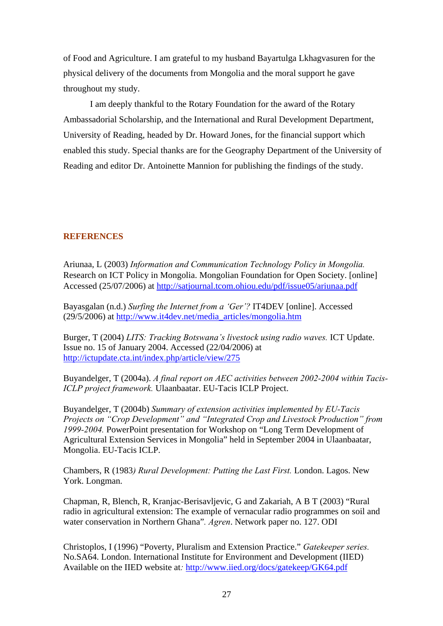of Food and Agriculture. I am grateful to my husband Bayartulga Lkhagvasuren for the physical delivery of the documents from Mongolia and the moral support he gave throughout my study.

I am deeply thankful to the Rotary Foundation for the award of the Rotary Ambassadorial Scholarship, and the International and Rural Development Department, University of Reading, headed by Dr. Howard Jones, for the financial support which enabled this study. Special thanks are for the Geography Department of the University of Reading and editor Dr. Antoinette Mannion for publishing the findings of the study.

#### **REFERENCES**

Ariunaa, L (2003) *Information and Communication Technology Policy in Mongolia.*  Research on ICT Policy in Mongolia. Mongolian Foundation for Open Society. [online] Accessed (25/07/2006) at <http://satjournal.tcom.ohiou.edu/pdf/issue05/ariunaa.pdf>

Bayasgalan (n.d.) *Surfing the Internet from a 'Ger'?* IT4DEV [online]. Accessed (29/5/2006) at [http://www.it4dev.net/media\\_articles/mongolia.htm](http://www.it4dev.net/media_articles/mongolia.htm)

Burger, T (2004) *LITS: Tracking Botswana's livestock using radio waves.* ICT Update. Issue no. 15 of January 2004. Accessed (22/04/2006) at <http://ictupdate.cta.int/index.php/article/view/275>

Buyandelger, T (2004a). *A final report on AEC activities between 2002-2004 within Tacis-ICLP project framework.* Ulaanbaatar. EU-Tacis ICLP Project.

Buyandelger, T (2004b) *Summary of extension activities implemented by EU-Tacis Projects on "Crop Development" and "Integrated Crop and Livestock Production" from 1999-2004.* PowerPoint presentation for Workshop on "Long Term Development of Agricultural Extension Services in Mongolia" held in September 2004 in Ulaanbaatar, Mongolia. EU-Tacis ICLP.

Chambers, R (1983*) Rural Development: Putting the Last First.* London. Lagos. New York. Longman.

Chapman, R, Blench, R, Kranjac-Berisavljevic, G and Zakariah, A B T (2003) "Rural radio in agricultural extension: The example of vernacular radio programmes on soil and water conservation in Northern Ghana"*. Agren*. Network paper no. 127. ODI

Christoplos, I (1996) "Poverty, Pluralism and Extension Practice." *Gatekeeper series.* No.SA64. London. International Institute for Environment and Development (IIED) Available on the IIED website at*:* <http://www.iied.org/docs/gatekeep/GK64.pdf>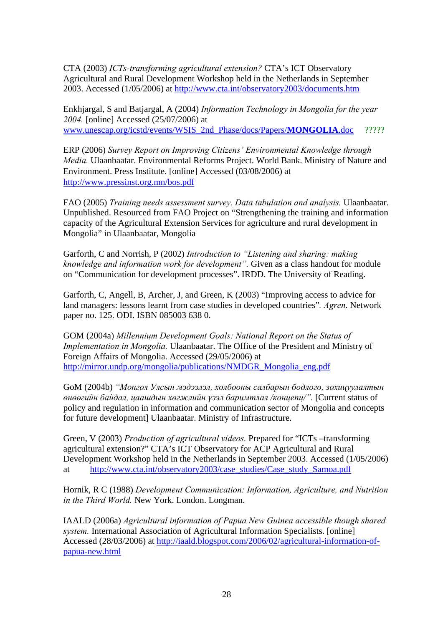CTA (2003) *ICTs-transforming agricultural extension?* CTA's ICT Observatory Agricultural and Rural Development Workshop held in the Netherlands in September 2003. Accessed (1/05/2006) at <http://www.cta.int/observatory2003/documents.htm>

Enkhjargal, S and Batjargal, A (2004) *Information Technology in Mongolia for the year 2004.* [online] Accessed (25/07/2006) at [www.unescap.org/icstd/events/WSIS\\_2nd\\_Phase/docs/Papers/](http://www.unescap.org/icstd/events/WSIS_2nd_Phase/docs/Papers/MONGOLIA.doc)**MONGOLIA**.doc ?????

ERP (2006) *Survey Report on Improving Citizens' Environmental Knowledge through Media.* Ulaanbaatar. Environmental Reforms Project. World Bank. Ministry of Nature and Environment. Press Institute. [online] Accessed (03/08/2006) at <http://www.pressinst.org.mn/bos.pdf>

FAO (2005) *Training needs assessment survey. Data tabulation and analysis.* Ulaanbaatar. Unpublished. Resourced from FAO Project on "Strengthening the training and information capacity of the Agricultural Extension Services for agriculture and rural development in Mongolia" in Ulaanbaatar, Mongolia

Garforth, C and Norrish, P (2002) *Introduction to "Listening and sharing: making knowledge and information work for development".* Given as a class handout for module on "Communication for development processes". IRDD. The University of Reading.

Garforth, C, Angell, B, Archer, J, and Green, K (2003) "Improving access to advice for land managers: lessons learnt from case studies in developed countries"*. Agren*. Network paper no. 125. ODI. ISBN 085003 638 0.

GOM (2004a) *Millennium Development Goals: National Report on the Status of Implementation in Mongolia.* Ulaanbaatar. The Office of the President and Ministry of Foreign Affairs of Mongolia. Accessed (29/05/2006) at [http://mirror.undp.org/mongolia/publications/NMDGR\\_Mongolia\\_eng.pdf](http://mirror.undp.org/mongolia/publications/NMDGR_Mongolia_eng.pdf)

GoM (2004b) *"Монгол Улсын мэдээлэл, холбооны салбарын бодлого, зохицуулалтын өнөөгийн байдал, цаашдын хөгжлийн үзэл баримтлал /концепц/".* [Current status of policy and regulation in information and communication sector of Mongolia and concepts for future development] Ulaanbaatar. Ministry of Infrastructure.

Green, V (2003) *Production of agricultural videos.* Prepared for "ICTs –transforming agricultural extension?" CTA's ICT Observatory for ACP Agricultural and Rural Development Workshop held in the Netherlands in September 2003. Accessed (1/05/2006) at [http://www.cta.int/observatory2003/case\\_studies/Case\\_study\\_Samoa.pdf](http://www.cta.int/observatory2003/case_studies/Case_study_Samoa.pdf)

Hornik, R C (1988) *Development Communication: Information, Agriculture, and Nutrition in the Third World.* New York. London. Longman.

IAALD (2006a) *Agricultural information of Papua New Guinea accessible though shared system.* International Association of Agricultural Information Specialists. [online] Accessed (28/03/2006) at [http://iaald.blogspot.com/2006/02/agricultural-information-of](http://iaald.blogspot.com/2006/02/agricultural-information-of-papua-new.html)[papua-new.html](http://iaald.blogspot.com/2006/02/agricultural-information-of-papua-new.html)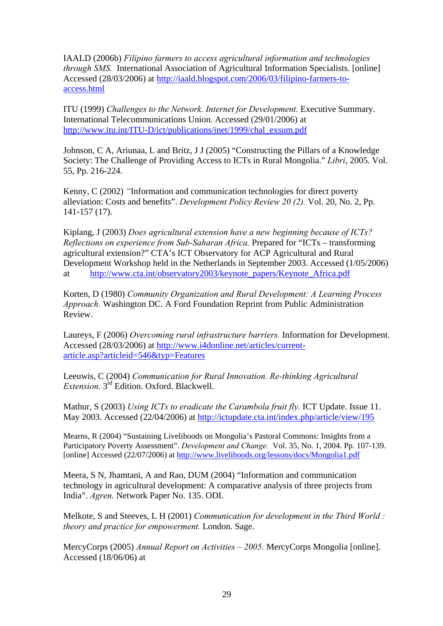IAALD (2006b) *Filipino farmers to access agricultural information and technologies through SMS.* International Association of Agricultural Information Specialists. [online] Accessed (28/03/2006) at [http://iaald.blogspot.com/2006/03/filipino-farmers-to](http://iaald.blogspot.com/2006/03/filipino-farmers-to-access.html)[access.html](http://iaald.blogspot.com/2006/03/filipino-farmers-to-access.html)

ITU (1999) *Challenges to the Network. Internet for Development.* Executive Summary. International Telecommunications Union. Accessed (29/01/2006) at [http://www.itu.int/ITU-D/ict/publications/inet/1999/chal\\_exsum.pdf](http://www.itu.int/ITU-D/ict/publications/inet/1999/chal_exsum.pdf)

Johnson, C A, Ariunaa, L and Britz, J J (2005) "Constructing the Pillars of a Knowledge Society: The Challenge of Providing Access to ICTs in Rural Mongolia." *Libri*, 2005. Vol. 55, Pp. 216-224.

Kenny, C (2002) *"*Information and communication technologies for direct poverty alleviation: Costs and benefits". *Development Policy Review 20 (2).* Vol. 20, No. 2, Pp. 141-157 (17).

Kiplang, J (2003) *Does agricultural extension have a new beginning because of ICTs? Reflections on experience from Sub-Saharan Africa.* Prepared for "ICTs – transforming agricultural extension?" CTA's ICT Observatory for ACP Agricultural and Rural Development Workshop held in the Netherlands in September 2003. Accessed (1/05/2006) at [http://www.cta.int/observatory2003/keynote\\_papers/Keynote\\_Africa.pdf](http://www.cta.int/observatory2003/keynote_papers/Keynote_Africa.pdf)

Korten, D (1980) *Community Organization and Rural Development: A Learning Process Approach.* Washington DC. A Ford Foundation Reprint from Public Administration Review.

Laureys, F (2006) *Overcoming rural infrastructure barriers.* Information for Development. Accessed (28/03/2006) at [http://www.i4donline.net/articles/current](http://www.i4donline.net/articles/current-article.asp?articleid=546&typ=Features)[article.asp?articleid=546&typ=Features](http://www.i4donline.net/articles/current-article.asp?articleid=546&typ=Features)

Leeuwis, C (2004) *Communication for Rural Innovation. Re-thinking Agricultural Extension.* 3rd Edition. Oxford. Blackwell.

Mathur, S (2003) *Using ICTs to eradicate the Carambola fruit fly.* ICT Update. Issue 11. May 2003. Accessed (22/04/2006) at <http://ictupdate.cta.int/index.php/article/view/195>

Mearns, R (2004) "Sustaining Livelihoods on Mongolia's Pastoral Commons: Insights from a Participatory Poverty Assessment". *Development and Change.* Vol. 35, No. 1, 2004. Pp. 107-139. [online] Accessed (22/07/2006) at <http://www.livelihoods.org/lessons/docs/Mongolia1.pdf>

Meera, S N, Jhamtani, A and Rao, DUM (2004) "Information and communication technology in agricultural development: A comparative analysis of three projects from India". *Agren*. Network Paper No. 135. ODI.

Melkote, S and Steeves, L H (2001) *Communication for development in the Third World : theory and practice for empowerment.* London. Sage.

MercyCorps (2005) *Annual Report on Activities – 2005.* MercyCorps Mongolia [online]. Accessed (18/06/06) at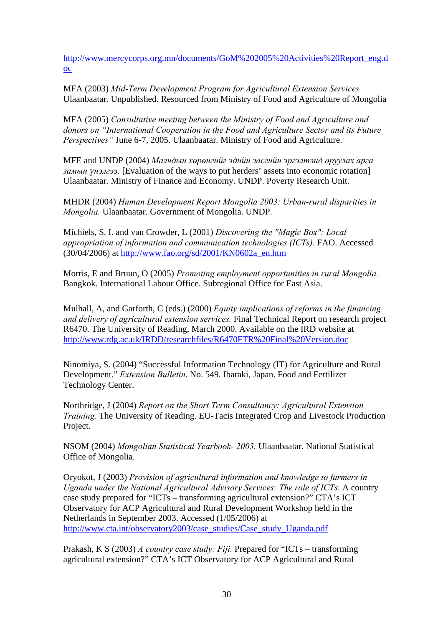[http://www.mercycorps.org.mn/documents/GoM%202005%20Activities%20Report\\_eng.d](http://www.mercycorps.org.mn/documents/GoM%202005%20Activities%20Report_eng.doc) [oc](http://www.mercycorps.org.mn/documents/GoM%202005%20Activities%20Report_eng.doc)

MFA (2003) *Mid-Term Development Program for Agricultural Extension Services.*  Ulaanbaatar. Unpublished. Resourced from Ministry of Food and Agriculture of Mongolia

MFA (2005) *Consultative meeting between the Ministry of Food and Agriculture and donors on "International Cooperation in the Food and Agriculture Sector and its Future Perspectives"* June 6-7, 2005. Ulaanbaatar. Ministry of Food and Agriculture.

MFE and UNDP (2004) *Малчдын хөрөнгийг эдийн засгийн эргэлтэнд оруулах арга замын үнэлгээ.* [Evaluation of the ways to put herders' assets into economic rotation] Ulaanbaatar. Ministry of Finance and Economy. UNDP. Poverty Research Unit.

MHDR (2004) *Human Development Report Mongolia 2003: Urban-rural disparities in Mongolia.* Ulaanbaatar. Government of Mongolia. UNDP.

Michiels, S. I. and van Crowder, L (2001) *Discovering the "Magic Box": Local appropriation of information and communication technologies (ICTs).* FAO. Accessed (30/04/2006) at [http://www.fao.org/sd/2001/KN0602a\\_en.htm](http://www.fao.org/sd/2001/KN0602a_en.htm)

Morris, E and Bruun, O (2005) *Promoting employment opportunities in rural Mongolia.*  Bangkok. International Labour Office. Subregional Office for East Asia.

Mulhall, A, and Garforth, C (eds.) (2000) *Equity implications of reforms in the financing and delivery of agricultural extension services.* Final Technical Report on research project R6470. The University of Reading, March 2000. Available on the IRD website at <http://www.rdg.ac.uk/IRDD/researchfiles/R6470FTR%20Final%20Version.doc>

Ninomiya, S. (2004) "Successful Information Technology (IT) for Agriculture and Rural Development." *Extension Bulletin*. No. 549. Ibaraki, Japan. Food and Fertilizer Technology Center.

Northridge, J (2004) *Report on the Short Term Consultancy: Agricultural Extension Training.* The University of Reading. EU-Tacis Integrated Crop and Livestock Production Project.

NSOM (2004) *Mongolian Statistical Yearbook- 2003.* Ulaanbaatar. National Statistical Office of Mongolia.

Oryokot, J (2003) *Provision of agricultural information and knowledge to farmers in Uganda under the National Agricultural Advisory Services: The role of ICTs.* A country case study prepared for "ICTs – transforming agricultural extension?" CTA's ICT Observatory for ACP Agricultural and Rural Development Workshop held in the Netherlands in September 2003. Accessed (1/05/2006) at [http://www.cta.int/observatory2003/case\\_studies/Case\\_study\\_Uganda.pdf](http://www.cta.int/observatory2003/case_studies/Case_study_Uganda.pdf)

Prakash, K S (2003) *A country case study: Fiji.* Prepared for "ICTs – transforming agricultural extension?" CTA's ICT Observatory for ACP Agricultural and Rural